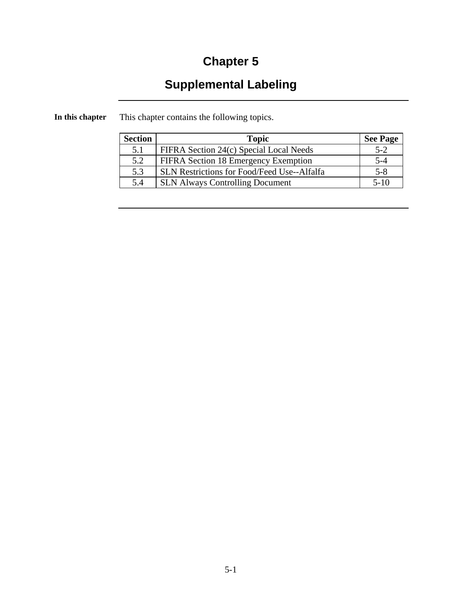### **Chapter 5**

## **Supplemental Labeling**

| <b>Section</b> | <b>Topic</b>                                       | <b>See Page</b> |
|----------------|----------------------------------------------------|-----------------|
| 5.1            | FIFRA Section 24(c) Special Local Needs            | $5 - 2$         |
| 5.2            | FIFRA Section 18 Emergency Exemption               | 5-4             |
| 5.3            | <b>SLN Restrictions for Food/Feed Use--Alfalfa</b> | $5 - 8$         |
| 5.4            | <b>SLN Always Controlling Document</b>             | $5-10$          |

**In this chapter** This chapter contains the following topics.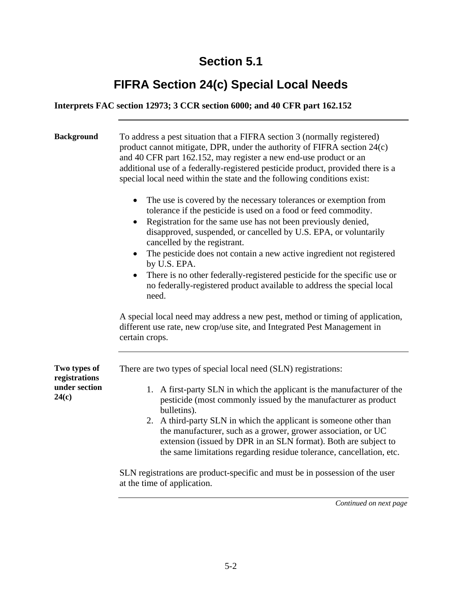### **FIFRA Section 24(c) Special Local Needs**

#### **Interprets FAC section 12973; 3 CCR section 6000; and 40 CFR part 162.152**

| <b>Background</b>             | To address a pest situation that a FIFRA section 3 (normally registered)<br>product cannot mitigate, DPR, under the authority of FIFRA section 24(c)<br>and 40 CFR part 162.152, may register a new end-use product or an<br>additional use of a federally-registered pesticide product, provided there is a<br>special local need within the state and the following conditions exist: |
|-------------------------------|-----------------------------------------------------------------------------------------------------------------------------------------------------------------------------------------------------------------------------------------------------------------------------------------------------------------------------------------------------------------------------------------|
|                               | The use is covered by the necessary tolerances or exemption from<br>$\bullet$<br>tolerance if the pesticide is used on a food or feed commodity.<br>Registration for the same use has not been previously denied,<br>disapproved, suspended, or cancelled by U.S. EPA, or voluntarily<br>cancelled by the registrant.                                                                   |
|                               | The pesticide does not contain a new active ingredient not registered<br>by U.S. EPA.<br>There is no other federally-registered pesticide for the specific use or<br>$\bullet$<br>no federally-registered product available to address the special local<br>need.                                                                                                                       |
|                               | A special local need may address a new pest, method or timing of application,<br>different use rate, new crop/use site, and Integrated Pest Management in<br>certain crops.                                                                                                                                                                                                             |
| Two types of<br>registrations | There are two types of special local need (SLN) registrations:                                                                                                                                                                                                                                                                                                                          |
| under section<br>24(c)        | A first-party SLN in which the applicant is the manufacturer of the<br>1.<br>pesticide (most commonly issued by the manufacturer as product<br>bulletins).                                                                                                                                                                                                                              |
|                               | 2. A third-party SLN in which the applicant is someone other than<br>the manufacturer, such as a grower, grower association, or UC<br>extension (issued by DPR in an SLN format). Both are subject to<br>the same limitations regarding residue tolerance, cancellation, etc.                                                                                                           |
|                               | SLN registrations are product-specific and must be in possession of the user<br>at the time of application.                                                                                                                                                                                                                                                                             |

*Continued on next page*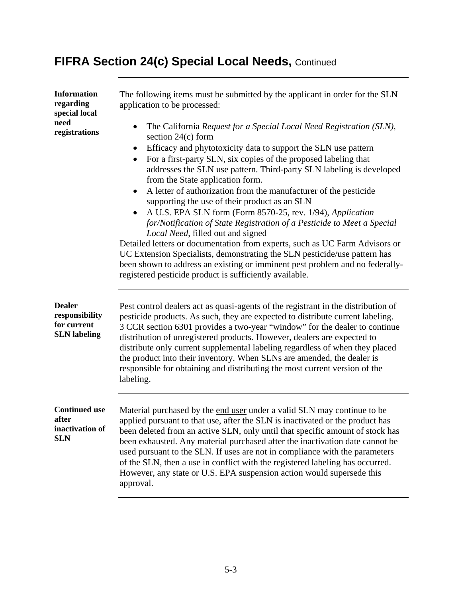# **FIFRA Section 24(c) Special Local Needs,** Continued

| <b>Information</b><br>regarding<br>special local                      | The following items must be submitted by the applicant in order for the SLN<br>application to be processed:                                                                                                                                                                                                                                                                                                                                                                                                                                                                                                                                                                                                                                                                                                                                                                                                                                            |
|-----------------------------------------------------------------------|--------------------------------------------------------------------------------------------------------------------------------------------------------------------------------------------------------------------------------------------------------------------------------------------------------------------------------------------------------------------------------------------------------------------------------------------------------------------------------------------------------------------------------------------------------------------------------------------------------------------------------------------------------------------------------------------------------------------------------------------------------------------------------------------------------------------------------------------------------------------------------------------------------------------------------------------------------|
| need<br>registrations                                                 | The California Request for a Special Local Need Registration (SLN),<br>section $24(c)$ form<br>Efficacy and phytotoxicity data to support the SLN use pattern<br>For a first-party SLN, six copies of the proposed labeling that<br>addresses the SLN use pattern. Third-party SLN labeling is developed<br>from the State application form.<br>A letter of authorization from the manufacturer of the pesticide<br>supporting the use of their product as an SLN<br>A U.S. EPA SLN form (Form 8570-25, rev. 1/94), Application<br>for/Notification of State Registration of a Pesticide to Meet a Special<br>Local Need, filled out and signed<br>Detailed letters or documentation from experts, such as UC Farm Advisors or<br>UC Extension Specialists, demonstrating the SLN pesticide/use pattern has<br>been shown to address an existing or imminent pest problem and no federally-<br>registered pesticide product is sufficiently available. |
| <b>Dealer</b><br>responsibility<br>for current<br><b>SLN</b> labeling | Pest control dealers act as quasi-agents of the registrant in the distribution of<br>pesticide products. As such, they are expected to distribute current labeling.<br>3 CCR section 6301 provides a two-year "window" for the dealer to continue<br>distribution of unregistered products. However, dealers are expected to<br>distribute only current supplemental labeling regardless of when they placed<br>the product into their inventory. When SLNs are amended, the dealer is<br>responsible for obtaining and distributing the most current version of the<br>labeling.                                                                                                                                                                                                                                                                                                                                                                      |
| <b>Continued use</b><br>after<br>inactivation of<br><b>SLN</b>        | Material purchased by the end user under a valid SLN may continue to be<br>applied pursuant to that use, after the SLN is inactivated or the product has<br>been deleted from an active SLN, only until that specific amount of stock has<br>been exhausted. Any material purchased after the inactivation date cannot be<br>used pursuant to the SLN. If uses are not in compliance with the parameters<br>of the SLN, then a use in conflict with the registered labeling has occurred.<br>However, any state or U.S. EPA suspension action would supersede this<br>approval.                                                                                                                                                                                                                                                                                                                                                                        |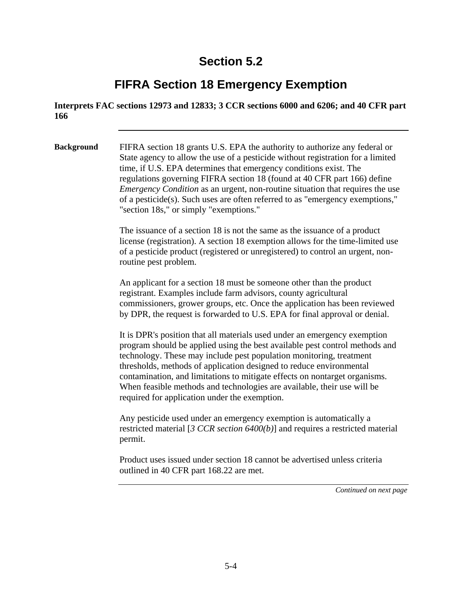#### **FIFRA Section 18 Emergency Exemption**

**Interprets FAC sections 12973 and 12833; 3 CCR sections 6000 and 6206; and 40 CFR part 166** 

**Background** FIFRA section 18 grants U.S. EPA the authority to authorize any federal or State agency to allow the use of a pesticide without registration for a limited time, if U.S. EPA determines that emergency conditions exist. The regulations governing FIFRA section 18 (found at 40 CFR part 166) define *Emergency Condition* as an urgent, non-routine situation that requires the use of a pesticide(s). Such uses are often referred to as "emergency exemptions," "section 18s," or simply "exemptions."

> The issuance of a section 18 is not the same as the issuance of a product license (registration). A section 18 exemption allows for the time-limited use of a pesticide product (registered or unregistered) to control an urgent, nonroutine pest problem.

An applicant for a section 18 must be someone other than the product registrant. Examples include farm advisors, county agricultural commissioners, grower groups, etc. Once the application has been reviewed by DPR, the request is forwarded to U.S. EPA for final approval or denial.

It is DPR's position that all materials used under an emergency exemption program should be applied using the best available pest control methods and technology. These may include pest population monitoring, treatment thresholds, methods of application designed to reduce environmental contamination, and limitations to mitigate effects on nontarget organisms. When feasible methods and technologies are available, their use will be required for application under the exemption.

Any pesticide used under an emergency exemption is automatically a restricted material [*3 CCR section 6400(b)*] and requires a restricted material permit.

Product uses issued under section 18 cannot be advertised unless criteria outlined in 40 CFR part 168.22 are met.

*Continued on next page*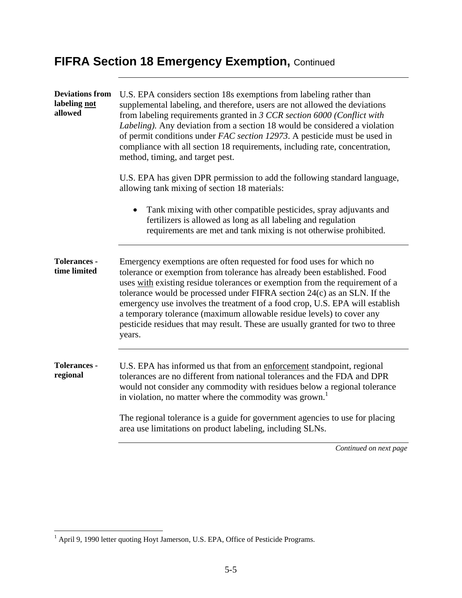### **FIFRA Section 18 Emergency Exemption, Continued**

| <b>Deviations from</b><br>labeling not<br>allowed | U.S. EPA considers section 18s exemptions from labeling rather than<br>supplemental labeling, and therefore, users are not allowed the deviations<br>from labeling requirements granted in 3 CCR section 6000 (Conflict with<br>Labeling). Any deviation from a section 18 would be considered a violation<br>of permit conditions under FAC section 12973. A pesticide must be used in<br>compliance with all section 18 requirements, including rate, concentration,<br>method, timing, and target pest.                                                       |
|---------------------------------------------------|------------------------------------------------------------------------------------------------------------------------------------------------------------------------------------------------------------------------------------------------------------------------------------------------------------------------------------------------------------------------------------------------------------------------------------------------------------------------------------------------------------------------------------------------------------------|
|                                                   | U.S. EPA has given DPR permission to add the following standard language,<br>allowing tank mixing of section 18 materials:                                                                                                                                                                                                                                                                                                                                                                                                                                       |
|                                                   | Tank mixing with other compatible pesticides, spray adjuvants and<br>fertilizers is allowed as long as all labeling and regulation<br>requirements are met and tank mixing is not otherwise prohibited.                                                                                                                                                                                                                                                                                                                                                          |
| <b>Tolerances -</b><br>time limited               | Emergency exemptions are often requested for food uses for which no<br>tolerance or exemption from tolerance has already been established. Food<br>uses with existing residue tolerances or exemption from the requirement of a<br>tolerance would be processed under FIFRA section 24(c) as an SLN. If the<br>emergency use involves the treatment of a food crop, U.S. EPA will establish<br>a temporary tolerance (maximum allowable residue levels) to cover any<br>pesticide residues that may result. These are usually granted for two to three<br>years. |
| <b>Tolerances -</b><br>regional                   | U.S. EPA has informed us that from an enforcement standpoint, regional<br>tolerances are no different from national tolerances and the FDA and DPR<br>would not consider any commodity with residues below a regional tolerance<br>in violation, no matter where the commodity was grown.                                                                                                                                                                                                                                                                        |
|                                                   | The regional tolerance is a guide for government agencies to use for placing<br>area use limitations on product labeling, including SLNs.                                                                                                                                                                                                                                                                                                                                                                                                                        |
|                                                   | Continued on next page                                                                                                                                                                                                                                                                                                                                                                                                                                                                                                                                           |

<sup>&</sup>lt;sup>1</sup> April 9, 1990 letter quoting Hoyt Jamerson, U.S. EPA, Office of Pesticide Programs.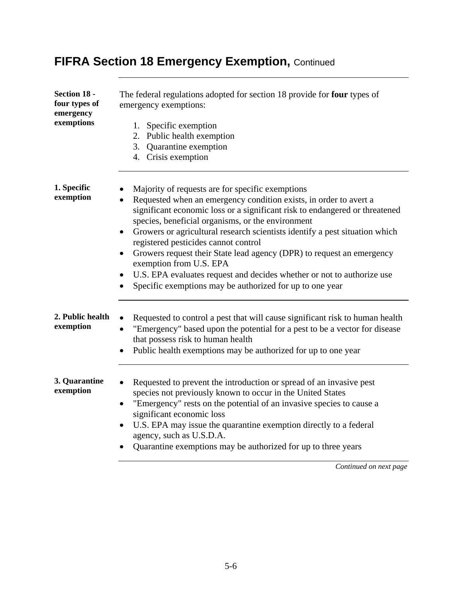| Section 18 -<br>four types of<br>emergency<br>exemptions | The federal regulations adopted for section 18 provide for four types of<br>emergency exemptions:<br>1. Specific exemption<br>2. Public health exemption<br>3. Quarantine exemption<br>4. Crisis exemption                                                                                                                                                                                                                                                                                                                                                                                                                                                                     |
|----------------------------------------------------------|--------------------------------------------------------------------------------------------------------------------------------------------------------------------------------------------------------------------------------------------------------------------------------------------------------------------------------------------------------------------------------------------------------------------------------------------------------------------------------------------------------------------------------------------------------------------------------------------------------------------------------------------------------------------------------|
| 1. Specific<br>exemption                                 | Majority of requests are for specific exemptions<br>Requested when an emergency condition exists, in order to avert a<br>$\bullet$<br>significant economic loss or a significant risk to endangered or threatened<br>species, beneficial organisms, or the environment<br>Growers or agricultural research scientists identify a pest situation which<br>registered pesticides cannot control<br>Growers request their State lead agency (DPR) to request an emergency<br>$\bullet$<br>exemption from U.S. EPA<br>U.S. EPA evaluates request and decides whether or not to authorize use<br>$\bullet$<br>Specific exemptions may be authorized for up to one year<br>$\bullet$ |
| 2. Public health<br>exemption                            | Requested to control a pest that will cause significant risk to human health<br>"Emergency" based upon the potential for a pest to be a vector for disease<br>$\bullet$<br>that possess risk to human health<br>Public health exemptions may be authorized for up to one year                                                                                                                                                                                                                                                                                                                                                                                                  |
| 3. Quarantine<br>exemption                               | Requested to prevent the introduction or spread of an invasive pest<br>$\bullet$<br>species not previously known to occur in the United States<br>"Emergency" rests on the potential of an invasive species to cause a<br>$\bullet$<br>significant economic loss<br>U.S. EPA may issue the quarantine exemption directly to a federal<br>$\bullet$<br>agency, such as U.S.D.A.<br>Quarantine exemptions may be authorized for up to three years                                                                                                                                                                                                                                |

### **FIFRA Section 18 Emergency Exemption, Continued**

*Continued on next page*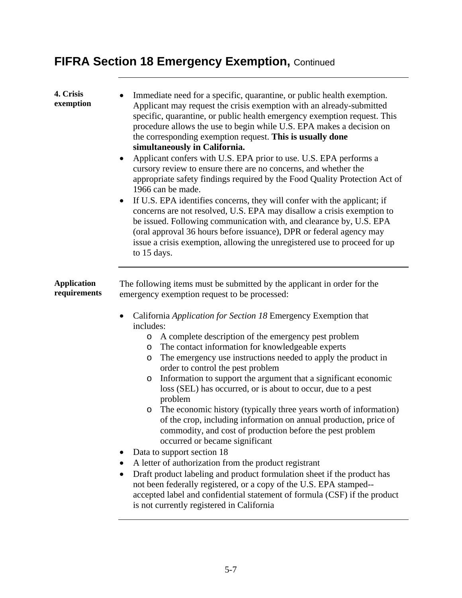## **FIFRA Section 18 Emergency Exemption, Continued**

| 4. Crisis<br>exemption             | Immediate need for a specific, quarantine, or public health exemption.<br>Applicant may request the crisis exemption with an already-submitted<br>specific, quarantine, or public health emergency exemption request. This<br>procedure allows the use to begin while U.S. EPA makes a decision on<br>the corresponding exemption request. This is usually done<br>simultaneously in California.<br>Applicant confers with U.S. EPA prior to use. U.S. EPA performs a<br>$\bullet$<br>cursory review to ensure there are no concerns, and whether the<br>appropriate safety findings required by the Food Quality Protection Act of<br>1966 can be made.<br>If U.S. EPA identifies concerns, they will confer with the applicant; if<br>$\bullet$<br>concerns are not resolved, U.S. EPA may disallow a crisis exemption to<br>be issued. Following communication with, and clearance by, U.S. EPA<br>(oral approval 36 hours before issuance), DPR or federal agency may<br>issue a crisis exemption, allowing the unregistered use to proceed for up<br>to 15 days.                                                                                                                                                                                 |
|------------------------------------|-------------------------------------------------------------------------------------------------------------------------------------------------------------------------------------------------------------------------------------------------------------------------------------------------------------------------------------------------------------------------------------------------------------------------------------------------------------------------------------------------------------------------------------------------------------------------------------------------------------------------------------------------------------------------------------------------------------------------------------------------------------------------------------------------------------------------------------------------------------------------------------------------------------------------------------------------------------------------------------------------------------------------------------------------------------------------------------------------------------------------------------------------------------------------------------------------------------------------------------------------------|
| <b>Application</b><br>requirements | The following items must be submitted by the applicant in order for the<br>emergency exemption request to be processed:<br>California Application for Section 18 Emergency Exemption that<br>$\bullet$<br>includes:<br>A complete description of the emergency pest problem<br>$\circ$<br>The contact information for knowledgeable experts<br>$\circ$<br>The emergency use instructions needed to apply the product in<br>O<br>order to control the pest problem<br>Information to support the argument that a significant economic<br>$\circ$<br>loss (SEL) has occurred, or is about to occur, due to a pest<br>problem<br>The economic history (typically three years worth of information)<br>$\circ$<br>of the crop, including information on annual production, price of<br>commodity, and cost of production before the pest problem<br>occurred or became significant<br>Data to support section 18<br>A letter of authorization from the product registrant<br>Draft product labeling and product formulation sheet if the product has<br>٠<br>not been federally registered, or a copy of the U.S. EPA stamped--<br>accepted label and confidential statement of formula (CSF) if the product<br>is not currently registered in California |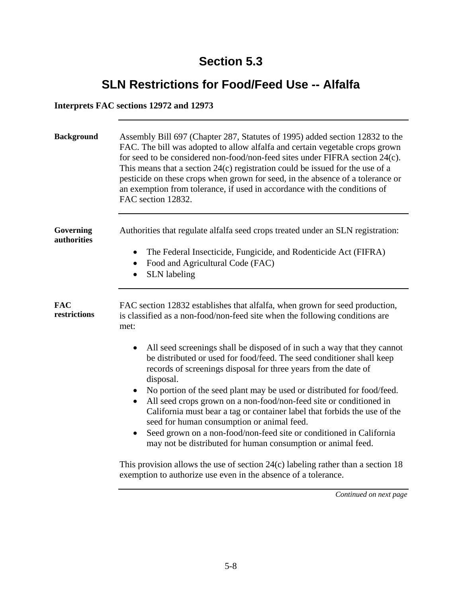### **SLN Restrictions for Food/Feed Use -- Alfalfa**

#### **Interprets FAC sections 12972 and 12973**

| <b>Background</b>          | Assembly Bill 697 (Chapter 287, Statutes of 1995) added section 12832 to the<br>FAC. The bill was adopted to allow alfalfa and certain vegetable crops grown<br>for seed to be considered non-food/non-feed sites under FIFRA section 24(c).<br>This means that a section $24(c)$ registration could be issued for the use of a<br>pesticide on these crops when grown for seed, in the absence of a tolerance or<br>an exemption from tolerance, if used in accordance with the conditions of<br>FAC section 12832. |
|----------------------------|----------------------------------------------------------------------------------------------------------------------------------------------------------------------------------------------------------------------------------------------------------------------------------------------------------------------------------------------------------------------------------------------------------------------------------------------------------------------------------------------------------------------|
| Governing<br>authorities   | Authorities that regulate alfalfa seed crops treated under an SLN registration:<br>The Federal Insecticide, Fungicide, and Rodenticide Act (FIFRA)<br>$\bullet$<br>Food and Agricultural Code (FAC)<br>$\bullet$<br><b>SLN</b> labeling<br>$\bullet$                                                                                                                                                                                                                                                                 |
| <b>FAC</b><br>restrictions | FAC section 12832 establishes that alfalfa, when grown for seed production,<br>is classified as a non-food/non-feed site when the following conditions are<br>met:                                                                                                                                                                                                                                                                                                                                                   |
|                            | All seed screenings shall be disposed of in such a way that they cannot<br>$\bullet$<br>be distributed or used for food/feed. The seed conditioner shall keep<br>records of screenings disposal for three years from the date of<br>disposal.                                                                                                                                                                                                                                                                        |
|                            | No portion of the seed plant may be used or distributed for food/feed.<br>All seed crops grown on a non-food/non-feed site or conditioned in<br>California must bear a tag or container label that forbids the use of the<br>seed for human consumption or animal feed.                                                                                                                                                                                                                                              |
|                            | Seed grown on a non-food/non-feed site or conditioned in California<br>may not be distributed for human consumption or animal feed.                                                                                                                                                                                                                                                                                                                                                                                  |
|                            | This provision allows the use of section $24(c)$ labeling rather than a section 18<br>exemption to authorize use even in the absence of a tolerance.                                                                                                                                                                                                                                                                                                                                                                 |
|                            | Continued on next page                                                                                                                                                                                                                                                                                                                                                                                                                                                                                               |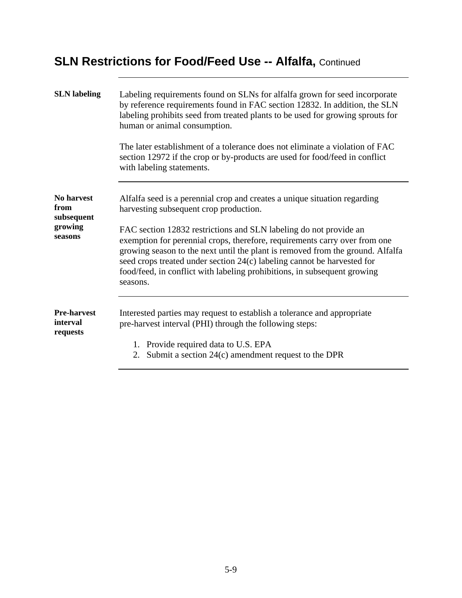### **SLN Restrictions for Food/Feed Use -- Alfalfa, Continued**

| <b>SLN</b> labeling                                           | Labeling requirements found on SLNs for alfalfa grown for seed incorporate<br>by reference requirements found in FAC section 12832. In addition, the SLN<br>labeling prohibits seed from treated plants to be used for growing sprouts for<br>human or animal consumption.<br>The later establishment of a tolerance does not eliminate a violation of FAC<br>section 12972 if the crop or by-products are used for food/feed in conflict<br>with labeling statements.                                                      |
|---------------------------------------------------------------|-----------------------------------------------------------------------------------------------------------------------------------------------------------------------------------------------------------------------------------------------------------------------------------------------------------------------------------------------------------------------------------------------------------------------------------------------------------------------------------------------------------------------------|
| <b>No harvest</b><br>from<br>subsequent<br>growing<br>seasons | Alfalfa seed is a perennial crop and creates a unique situation regarding<br>harvesting subsequent crop production.<br>FAC section 12832 restrictions and SLN labeling do not provide an<br>exemption for perennial crops, therefore, requirements carry over from one<br>growing season to the next until the plant is removed from the ground. Alfalfa<br>seed crops treated under section 24(c) labeling cannot be harvested for<br>food/feed, in conflict with labeling prohibitions, in subsequent growing<br>seasons. |
| <b>Pre-harvest</b><br>interval<br>requests                    | Interested parties may request to establish a tolerance and appropriate<br>pre-harvest interval (PHI) through the following steps:<br>1. Provide required data to U.S. EPA<br>2. Submit a section $24(c)$ amendment request to the DPR                                                                                                                                                                                                                                                                                      |